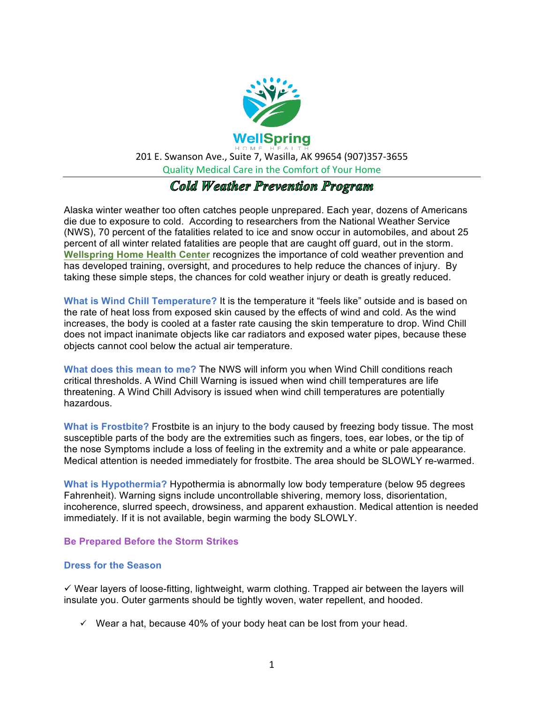

# **Cold Weather Prevention Program**

Alaska winter weather too often catches people unprepared. Each year, dozens of Americans die due to exposure to cold. According to researchers from the National Weather Service (NWS), 70 percent of the fatalities related to ice and snow occur in automobiles, and about 25 percent of all winter related fatalities are people that are caught off guard, out in the storm. **Wellspring Home Health Center** recognizes the importance of cold weather prevention and has developed training, oversight, and procedures to help reduce the chances of injury. By taking these simple steps, the chances for cold weather injury or death is greatly reduced.

**What is Wind Chill Temperature?** It is the temperature it "feels like" outside and is based on the rate of heat loss from exposed skin caused by the effects of wind and cold. As the wind increases, the body is cooled at a faster rate causing the skin temperature to drop. Wind Chill does not impact inanimate objects like car radiators and exposed water pipes, because these objects cannot cool below the actual air temperature.

**What does this mean to me?** The NWS will inform you when Wind Chill conditions reach critical thresholds. A Wind Chill Warning is issued when wind chill temperatures are life threatening. A Wind Chill Advisory is issued when wind chill temperatures are potentially hazardous.

**What is Frostbite?** Frostbite is an injury to the body caused by freezing body tissue. The most susceptible parts of the body are the extremities such as fingers, toes, ear lobes, or the tip of the nose Symptoms include a loss of feeling in the extremity and a white or pale appearance. Medical attention is needed immediately for frostbite. The area should be SLOWLY re-warmed.

**What is Hypothermia?** Hypothermia is abnormally low body temperature (below 95 degrees Fahrenheit). Warning signs include uncontrollable shivering, memory loss, disorientation, incoherence, slurred speech, drowsiness, and apparent exhaustion. Medical attention is needed immediately. If it is not available, begin warming the body SLOWLY.

### **Be Prepared Before the Storm Strikes**

### **Dress for the Season**

 $\checkmark$  Wear layers of loose-fitting, lightweight, warm clothing. Trapped air between the layers will insulate you. Outer garments should be tightly woven, water repellent, and hooded.

 $\checkmark$  Wear a hat, because 40% of your body heat can be lost from your head.